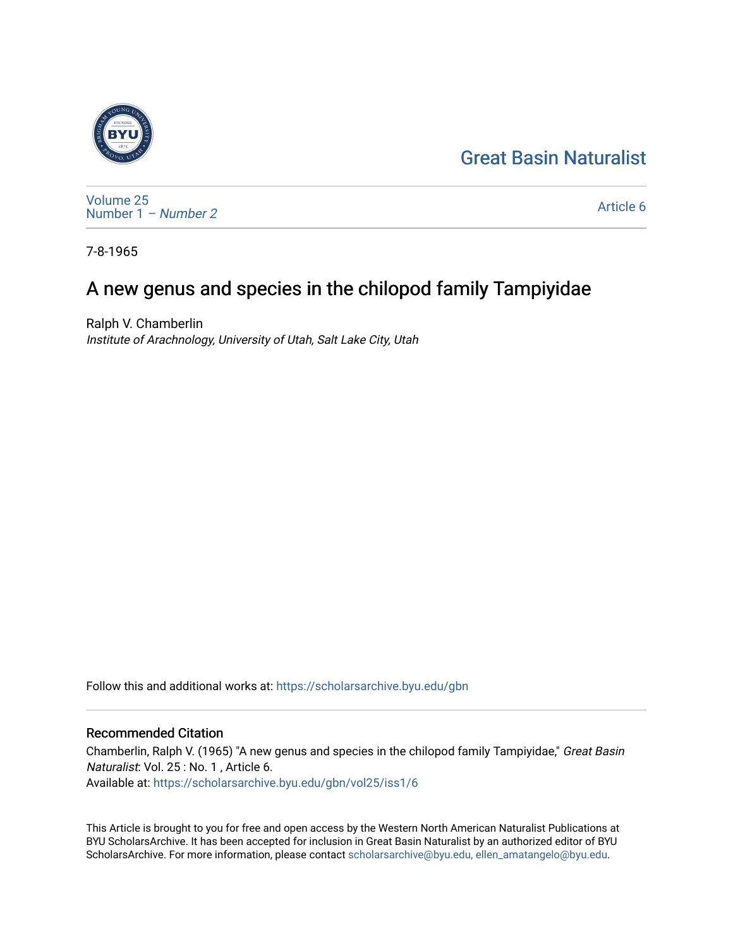# [Great Basin Naturalist](https://scholarsarchive.byu.edu/gbn)



[Volume 25](https://scholarsarchive.byu.edu/gbn/vol25) [Number 1](https://scholarsarchive.byu.edu/gbn/vol25/iss1) – Number 2

[Article 6](https://scholarsarchive.byu.edu/gbn/vol25/iss1/6) 

7-8-1965

# A new genus and species in the chilopod family Tampiyidae

Ralph V. Chamberlin Institute of Arachnology, University of Utah, Salt Lake City, Utah

Follow this and additional works at: [https://scholarsarchive.byu.edu/gbn](https://scholarsarchive.byu.edu/gbn?utm_source=scholarsarchive.byu.edu%2Fgbn%2Fvol25%2Fiss1%2F6&utm_medium=PDF&utm_campaign=PDFCoverPages) 

## Recommended Citation

Chamberlin, Ralph V. (1965) "A new genus and species in the chilopod family Tampiyidae," Great Basin Naturalist: Vol. 25 : No. 1 , Article 6. Available at: [https://scholarsarchive.byu.edu/gbn/vol25/iss1/6](https://scholarsarchive.byu.edu/gbn/vol25/iss1/6?utm_source=scholarsarchive.byu.edu%2Fgbn%2Fvol25%2Fiss1%2F6&utm_medium=PDF&utm_campaign=PDFCoverPages)

This Article is brought to you for free and open access by the Western North American Naturalist Publications at BYU ScholarsArchive. It has been accepted for inclusion in Great Basin Naturalist by an authorized editor of BYU ScholarsArchive. For more information, please contact [scholarsarchive@byu.edu, ellen\\_amatangelo@byu.edu.](mailto:scholarsarchive@byu.edu,%20ellen_amatangelo@byu.edu)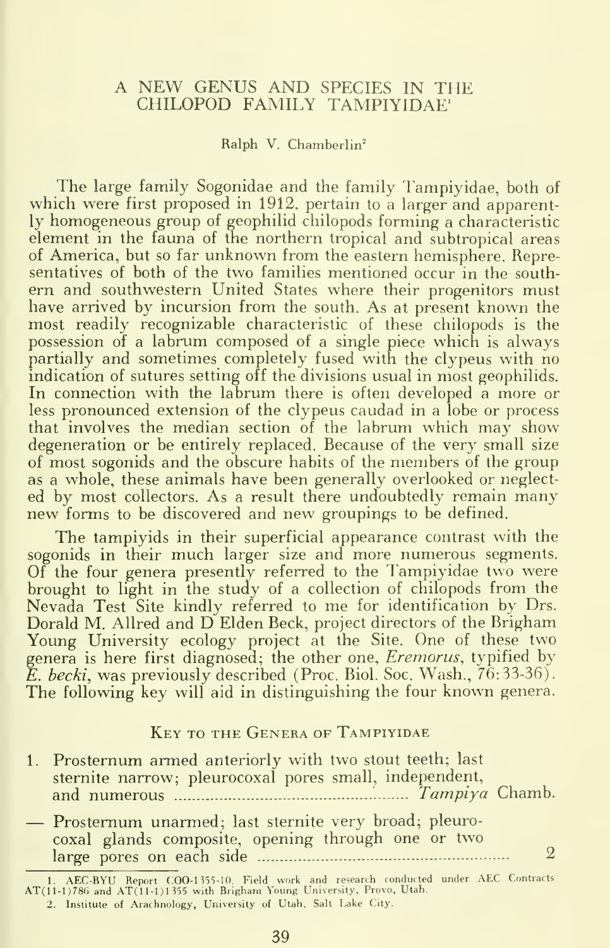### A NEW GENUS AND SPECIES IN THE CHILOPOD FAMILY TAMPIYIDAE'

#### Ralph V. Chamberlin"

The large family Sogonidae and the family Tampiyidae, both of which were first proposed in 1912, pertain to a larger and apparently homogeneous group of geophilid chilopods forming a characteristic element in the fauna of the northern tropical and subtropical areas of America, but so far unknown from the eastern hemisphere. Representatives of both of the two families mentioned occur in the southern and southwestern United States where their progenitors must have arrived by incursion from the south. As at present known the most readily recognizable characteristic of these chilopods is the possession of a labrum composed of a single piece which is always partially and sometimes completely fused with the clypeus with no indication of sutures setting off the divisions usual in most geophilids. In connection with the labrum there is often developed a more or less pronounced extension of the clypeus caudad in a lobe or process that involves the median section of the labrum which may show degeneration or be entirely replaced. Because of the very small size of most sogonids and the obscure habits of the members of the group as a whole, these animals have been generally overlooked or neglected by most collectors. As a result there undoubtedly remain many new forms to be discovered and new groupings to be defined.

The tampiyids in their superficial appearance contrast with the sogonids in their much larger size and more numerous segments. Of the four genera presently referred to the Tampiyidae two were brought to light in the study of a collection of chilopods from the Nevada Test Site kindly referred to me for identification by Drs. Dorald M. Allred and D Elden Beck, project directors of the Brigham Young University ecology project at the Site. One of these two genera is here first diagnosed; the other one, *Eremorus*, typified by E. becki, was previously described (Proc. Biol. Soc. Wash., 76:33-36). The following key will aid in distinguishing the four known genera.

#### Key to the Genera of Tampiyidae

| 1. Prosternum armed anteriorly with two stout teeth; last<br>sternite narrow; pleurocoxal pores small, independent, |  |
|---------------------------------------------------------------------------------------------------------------------|--|
| - Prosternum unarmed; last sternite very broad; pleuro-<br>coxal glands composite, opening through one or two       |  |

<sup>1.</sup> AECBYU Report COO-I 355-10. Field work and research condmted under AEC Contracts AT( 11-1)780 and AT( 11-1 <sup>J</sup> <sup>1355</sup> with Brigham Young University, Provo, Utah. 2. Institute of Arachnology, University of Utah, Salt Lake City.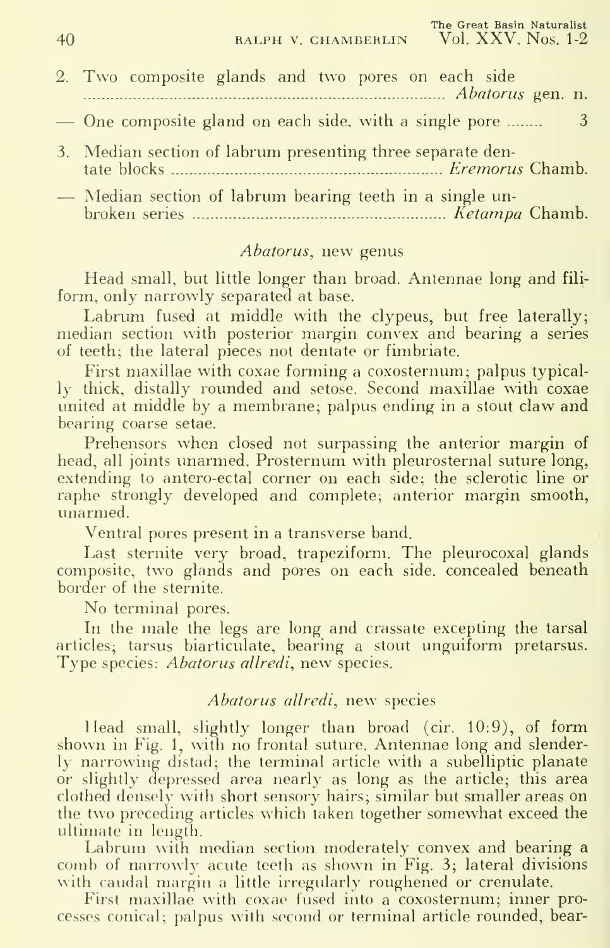| 2. Two composite glands and two pores on each side<br>Abatorus gen. n. |                            |
|------------------------------------------------------------------------|----------------------------|
| — One composite gland on each side, with a single pore                 | $\overline{\phantom{1}}$ 3 |
| 3. Median section of labrum presenting three separate den-             |                            |
| - Median section of labrum bearing teeth in a single un-               |                            |

broken series Ketampa Chamb.

### Abatorus, new genus

Head small, but little longer than broad. Antennae long and fili form, only narrowly separated at base.

Labrum fused at middle with the clypeus, but free laterally; median section with posterior margin convex and bearing a series of teeth; the lateral pieces not dentate or fimbriate.

First maxillae with coxae forming a coxosternum; palpus typically thick, distally rounded and setose. Second maxillae with coxae united at middle by <sup>a</sup> membrane; palpus ending in <sup>a</sup> stout claw and bearing coarse setae.

Prehensors when closed not surpassing the anterior margin of head, all joints unarmed. Prosternum with pleurosternal suture long, extending to antero-ectal corner on each side; the sclerotic line or raphe strongly developed and complete; anterior margin smooth, unarmed.

Ventral pores present in a transverse band.

Last sternite very broad, trapeziform. The pleurocoxal glands composite, two glands and pores on each side, concealed beneath border of the sternite.

No terminal pores.

In the male the legs are long and crassate excepting the tarsal articles; tarsus biarticulate, bearing a stout unguiform pretarsus. Type species: *Abatorus allredi*, new species.

#### Abatorus allredi, new species

Head small, slightly longer than broad (cir. 10:9), of form shown in Fig. 1, with no frontal suture. Antennae long and slenderly narrowing distad; the terminal article with a subelliptic planate or slightly depressed area nearly as long as the article; this area clothed densely with short sensory hairs; similar but smaller areas on the two preceding articles which taken together somewhat exceed the ultimate in length.

Labrum with median section moderately convex and bearing a comb of narrowly acute teeth as shown in Fig. 3; lateral divisions with caudal margin a little irregularly roughened or crenulate.

First maxillae with coxae fused into a coxosternum; inner processes conical; palpus with second or terminal article rounded, bear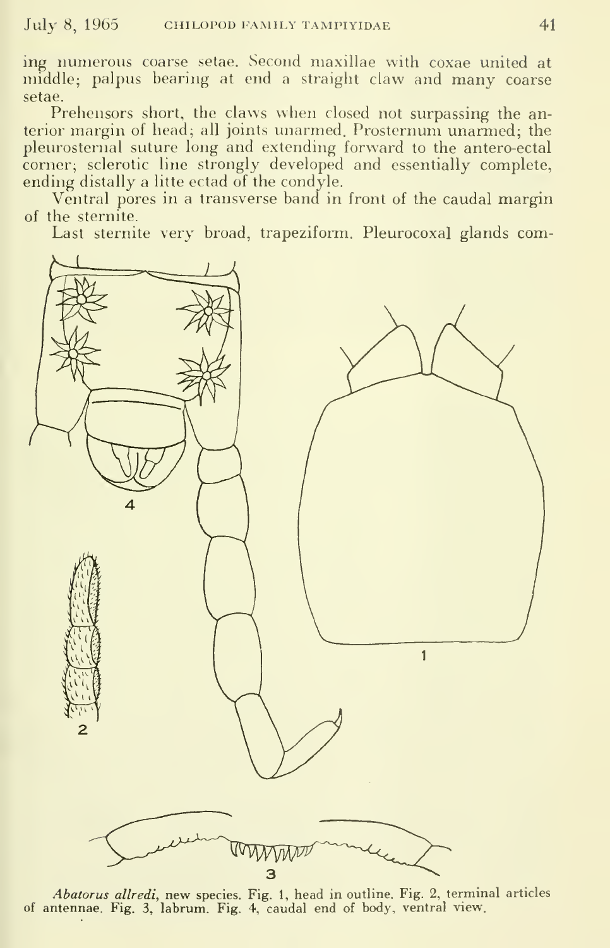ing numerous coarse setae. Second maxillae with coxae united at middle; palpus bearing at end a straight claw and many coarse setae.

Prehensors short, the claws when closed not surpassing the anterior margin of head; all joints unarmed. Prosternum unarmed; the pleurosternal suture long and extending forward to the antero-ectal corner; sclerotic line strongly developed and essentially complete, ending distally a litte ectad of the condyle.

Ventral pores in a transverse band in front of the caudal margin of the sternite.

Last sternite very broad, trapeziform. Pleurocoxal glands com-



Abatorus allredi, new species. Fig. 1, head in outline. Fig. 2, terminal articles of antennae. Fig. 3, labrum. Fig. 4, caudal end of body, ventral view.